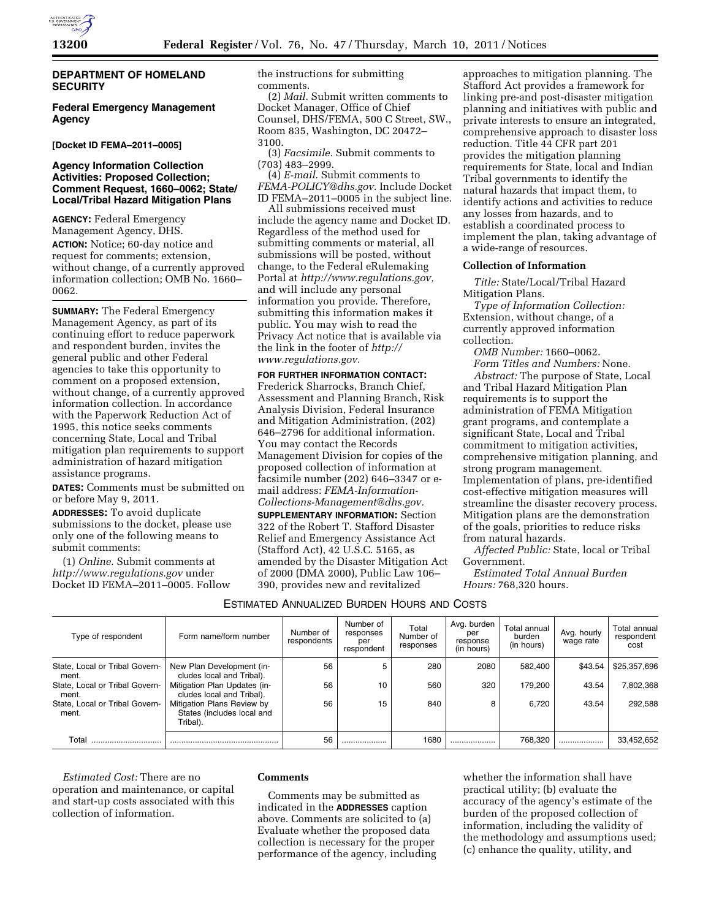

# **DEPARTMENT OF HOMELAND SECURITY**

**Federal Emergency Management Agency** 

**[Docket ID FEMA–2011–0005]** 

## **Agency Information Collection Activities: Proposed Collection; Comment Request, 1660–0062; State/ Local/Tribal Hazard Mitigation Plans**

**AGENCY:** Federal Emergency Management Agency, DHS.

**ACTION:** Notice; 60-day notice and request for comments; extension, without change, of a currently approved information collection; OMB No. 1660– 0062.

**SUMMARY:** The Federal Emergency Management Agency, as part of its continuing effort to reduce paperwork and respondent burden, invites the general public and other Federal agencies to take this opportunity to comment on a proposed extension, without change, of a currently approved information collection. In accordance with the Paperwork Reduction Act of 1995, this notice seeks comments concerning State, Local and Tribal mitigation plan requirements to support administration of hazard mitigation assistance programs.

**DATES:** Comments must be submitted on or before May 9, 2011.

**ADDRESSES:** To avoid duplicate submissions to the docket, please use only one of the following means to submit comments:

(1) *Online.* Submit comments at *<http://www.regulations.gov>* under Docket ID FEMA–2011–0005. Follow the instructions for submitting comments.

(2) *Mail.* Submit written comments to Docket Manager, Office of Chief Counsel, DHS/FEMA, 500 C Street, SW., Room 835, Washington, DC 20472– 3100.

(3) *Facsimile.* Submit comments to (703) 483–2999.

(4) *E-mail.* Submit comments to *[FEMA-POLICY@dhs.gov.](mailto:FEMA-POLICY@dhs.gov)* Include Docket ID FEMA–2011–0005 in the subject line.

All submissions received must include the agency name and Docket ID. Regardless of the method used for submitting comments or material, all submissions will be posted, without change, to the Federal eRulemaking Portal at *[http://www.regulations.gov,](http://www.regulations.gov)*  and will include any personal information you provide. Therefore, submitting this information makes it public. You may wish to read the Privacy Act notice that is available via the link in the footer of *[http://](http://www.regulations.gov) [www.regulations.gov.](http://www.regulations.gov)* 

**FOR FURTHER INFORMATION CONTACT:**  Frederick Sharrocks, Branch Chief, Assessment and Planning Branch, Risk Analysis Division, Federal Insurance and Mitigation Administration, (202) 646–2796 for additional information. You may contact the Records Management Division for copies of the proposed collection of information at facsimile number (202) 646–3347 or email address: *[FEMA-Information-](mailto:FEMA-Information-Collections-Management@dhs.gov)[Collections-Management@dhs.gov.](mailto:FEMA-Information-Collections-Management@dhs.gov)* 

**SUPPLEMENTARY INFORMATION:** Section 322 of the Robert T. Stafford Disaster Relief and Emergency Assistance Act (Stafford Act), 42 U.S.C. 5165, as amended by the Disaster Mitigation Act of 2000 (DMA 2000), Public Law 106– 390, provides new and revitalized

approaches to mitigation planning. The Stafford Act provides a framework for linking pre-and post-disaster mitigation planning and initiatives with public and private interests to ensure an integrated, comprehensive approach to disaster loss reduction. Title 44 CFR part 201 provides the mitigation planning requirements for State, local and Indian Tribal governments to identify the natural hazards that impact them, to identify actions and activities to reduce any losses from hazards, and to establish a coordinated process to implement the plan, taking advantage of a wide-range of resources.

#### **Collection of Information**

*Title:* State/Local/Tribal Hazard Mitigation Plans.

*Type of Information Collection:*  Extension, without change, of a currently approved information collection.

*OMB Number:* 1660–0062. *Form Titles and Numbers:* None. *Abstract:* The purpose of State, Local and Tribal Hazard Mitigation Plan requirements is to support the administration of FEMA Mitigation grant programs, and contemplate a significant State, Local and Tribal commitment to mitigation activities, comprehensive mitigation planning, and strong program management. Implementation of plans, pre-identified cost-effective mitigation measures will streamline the disaster recovery process. Mitigation plans are the demonstration of the goals, priorities to reduce risks from natural hazards.

*Affected Public:* State, local or Tribal Government.

*Estimated Total Annual Burden Hours:* 768,320 hours.

# ESTIMATED ANNUALIZED BURDEN HOURS AND COSTS

| Type of respondent                      | Form name/form number                                                | Number of<br>respondents | Number of<br>responses<br>per<br>respondent | Total<br>Number of<br>responses | Avg. burden<br>per<br>response | Total annual<br>burden<br>(in hours) | Avg. hourly<br>wage rate | Total annual<br>respondent<br>cost |
|-----------------------------------------|----------------------------------------------------------------------|--------------------------|---------------------------------------------|---------------------------------|--------------------------------|--------------------------------------|--------------------------|------------------------------------|
|                                         |                                                                      |                          |                                             |                                 | (in hours)                     |                                      |                          |                                    |
| State, Local or Tribal Govern-<br>ment. | New Plan Development (in-<br>cludes local and Tribal).               | 56                       | 5                                           | 280                             | 2080                           | 582.400                              | \$43.54                  | \$25,357,696                       |
| State, Local or Tribal Govern-<br>ment. | Mitigation Plan Updates (in-<br>cludes local and Tribal).            | 56                       | 10                                          | 560                             | 320                            | 179.200                              | 43.54                    | 7,802,368                          |
| State, Local or Tribal Govern-<br>ment. | Mitigation Plans Review by<br>States (includes local and<br>Tribal). | 56                       | 15                                          | 840                             | 8                              | 6.720                                | 43.54                    | 292,588                            |
| Total                                   |                                                                      | 56                       |                                             | 1680                            |                                | 768.320                              |                          | 33,452,652                         |

*Estimated Cost:* There are no operation and maintenance, or capital and start-up costs associated with this collection of information.

#### **Comments**

Comments may be submitted as indicated in the **ADDRESSES** caption above. Comments are solicited to (a) Evaluate whether the proposed data collection is necessary for the proper performance of the agency, including

whether the information shall have practical utility; (b) evaluate the accuracy of the agency's estimate of the burden of the proposed collection of information, including the validity of the methodology and assumptions used; (c) enhance the quality, utility, and